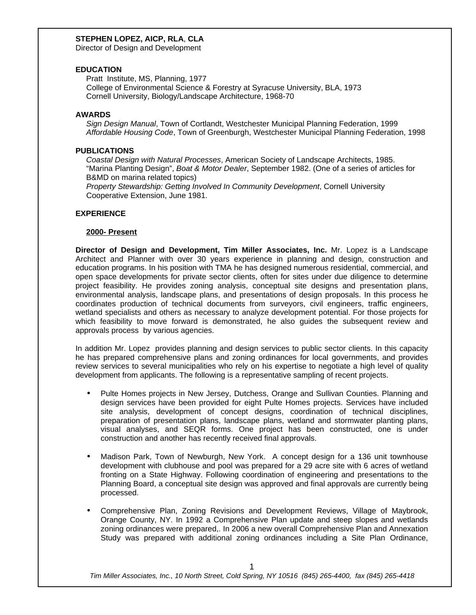Director of Design and Development

#### **EDUCATION**

 Pratt Institute, MS, Planning, 1977 College of Environmental Science & Forestry at Syracuse University, BLA, 1973 Cornell University, Biology/Landscape Architecture, 1968-70

### **AWARDS**

 *Sign Design Manual*, Town of Cortlandt, Westchester Municipal Planning Federation, 1999 *Affordable Housing Code*, Town of Greenburgh, Westchester Municipal Planning Federation, 1998

### **PUBLICATIONS**

 *Coastal Design with Natural Processes*, American Society of Landscape Architects, 1985. "Marina Planting Design", *Boat & Motor Dealer*, September 1982. (One of a series of articles for B&MD on marina related topics)

 *Property Stewardship: Getting Involved In Community Development*, Cornell University Cooperative Extension, June 1981.

### **EXPERIENCE**

#### **2000- Present**

**Director of Design and Development, Tim Miller Associates, Inc.** Mr. Lopez is a Landscape Architect and Planner with over 30 years experience in planning and design, construction and education programs. In his position with TMA he has designed numerous residential, commercial, and open space developments for private sector clients, often for sites under due diligence to determine project feasibility. He provides zoning analysis, conceptual site designs and presentation plans, environmental analysis, landscape plans, and presentations of design proposals. In this process he coordinates production of technical documents from surveyors, civil engineers, traffic engineers, wetland specialists and others as necessary to analyze development potential. For those projects for which feasibility to move forward is demonstrated, he also guides the subsequent review and approvals process by various agencies.

In addition Mr. Lopez provides planning and design services to public sector clients. In this capacity he has prepared comprehensive plans and zoning ordinances for local governments, and provides review services to several municipalities who rely on his expertise to negotiate a high level of quality development from applicants. The following is a representative sampling of recent projects.

- Pulte Homes projects in New Jersey, Dutchess, Orange and Sullivan Counties. Planning and design services have been provided for eight Pulte Homes projects. Services have included site analysis, development of concept designs, coordination of technical disciplines, preparation of presentation plans, landscape plans, wetland and stormwater planting plans, visual analyses, and SEQR forms. One project has been constructed, one is under construction and another has recently received final approvals.
- Madison Park, Town of Newburgh, New York. A concept design for a 136 unit townhouse development with clubhouse and pool was prepared for a 29 acre site with 6 acres of wetland fronting on a State Highway. Following coordination of engineering and presentations to the Planning Board, a conceptual site design was approved and final approvals are currently being processed.
- Comprehensive Plan, Zoning Revisions and Development Reviews, Village of Maybrook, Orange County, NY. In 1992 a Comprehensive Plan update and steep slopes and wetlands zoning ordinances were prepared,. In 2006 a new overall Comprehensive Plan and Annexation Study was prepared with additional zoning ordinances including a Site Plan Ordinance,

*Tim Miller Associates, Inc., 10 North Street, Cold Spring, NY 10516 (845) 265-4400, fax (845) 265-4418*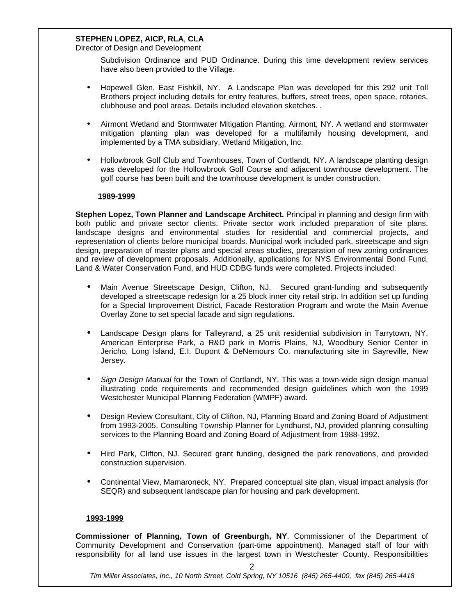Director of Design and Development

Subdivision Ordinance and PUD Ordinance. During this time development review services have also been provided to the Village.

- Hopewell Glen, East Fishkill, NY. A Landscape Plan was developed for this 292 unit Toll Brothers project including details for entry features, buffers, street trees, open space, rotaries, clubhouse and pool areas. Details included elevation sketches. .
- Airmont Wetland and Stormwater Mitigation Planting, Airmont, NY. A wetland and stormwater mitigation planting plan was developed for a multifamily housing development, and implemented by a TMA subsidiary, Wetland Mitigation, Inc.
- Hollowbrook Golf Club and Townhouses, Town of Cortlandt, NY. A landscape planting design was developed for the Hollowbrook Golf Course and adjacent townhouse development. The golf course has been built and the townhouse development is under construction.

### **1989-1999**

**Stephen Lopez, Town Planner and Landscape Architect.** Principal in planning and design firm with both public and private sector clients. Private sector work included preparation of site plans, landscape designs and environmental studies for residential and commercial projects, and representation of clients before municipal boards. Municipal work included park, streetscape and sign design, preparation of master plans and special areas studies, preparation of new zoning ordinances and review of development proposals. Additionally, applications for NYS Environmental Bond Fund, Land & Water Conservation Fund, and HUD CDBG funds were completed. Projects included:

- Main Avenue Streetscape Design, Clifton, NJ. Secured grant-funding and subsequently developed a streetscape redesign for a 25 block inner city retail strip. In addition set up funding for a Special Improvement District, Facade Restoration Program and wrote the Main Avenue Overlay Zone to set special facade and sign regulations.
- Landscape Design plans for Talleyrand, a 25 unit residential subdivision in Tarrytown, NY, American Enterprise Park, a R&D park in Morris Plains, NJ, Woodbury Senior Center in Jericho, Long Island, E.I. Dupont & DeNemours Co. manufacturing site in Sayreville, New Jersey.
- Sign Design Manual for the Town of Cortlandt, NY. This was a town-wide sign design manual illustrating code requirements and recommended design guidelines which won the 1999 Westchester Municipal Planning Federation (WMPF) award.
- Design Review Consultant, City of Clifton, NJ, Planning Board and Zoning Board of Adjustment from 1993-2005. Consulting Township Planner for Lyndhurst, NJ, provided planning consulting services to the Planning Board and Zoning Board of Adjustment from 1988-1992.
- Hird Park, Clifton, NJ. Secured grant funding, designed the park renovations, and provided construction supervision.
- Continental View, Mamaroneck, NY. Prepared conceptual site plan, visual impact analysis (for SEQR) and subsequent landscape plan for housing and park development.

#### **1993-1999**

**Commissioner of Planning, Town of Greenburgh, NY**. Commissioner of the Department of Community Development and Conservation (part-time appointment). Managed staff of four with responsibility for all land use issues in the largest town in Westchester County. Responsibilities

2

*Tim Miller Associates, Inc., 10 North Street, Cold Spring, NY 10516 (845) 265-4400, fax (845) 265-4418*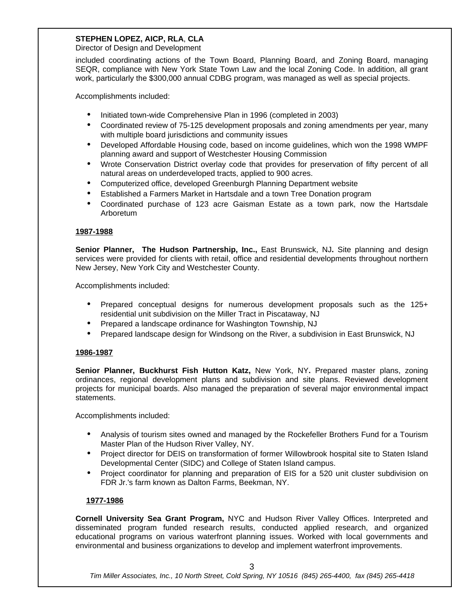Director of Design and Development

included coordinating actions of the Town Board, Planning Board, and Zoning Board, managing SEQR, compliance with New York State Town Law and the local Zoning Code. In addition, all grant work, particularly the \$300,000 annual CDBG program, was managed as well as special projects.

Accomplishments included:

- Initiated town-wide Comprehensive Plan in 1996 (completed in 2003)
- Coordinated review of 75-125 development proposals and zoning amendments per year, many with multiple board jurisdictions and community issues
- Developed Affordable Housing code, based on income guidelines, which won the 1998 WMPF planning award and support of Westchester Housing Commission
- Wrote Conservation District overlay code that provides for preservation of fifty percent of all natural areas on underdeveloped tracts, applied to 900 acres.
- Computerized office, developed Greenburgh Planning Department website
- Established a Farmers Market in Hartsdale and a town Tree Donation program
- Coordinated purchase of 123 acre Gaisman Estate as a town park, now the Hartsdale Arboretum

### **1987-1988**

**Senior Planner, The Hudson Partnership, Inc.,** East Brunswick, NJ**.** Site planning and design services were provided for clients with retail, office and residential developments throughout northern New Jersey, New York City and Westchester County.

Accomplishments included:

- Prepared conceptual designs for numerous development proposals such as the 125+ residential unit subdivision on the Miller Tract in Piscataway, NJ
- Prepared a landscape ordinance for Washington Township, NJ
- Prepared landscape design for Windsong on the River, a subdivision in East Brunswick, NJ

#### **1986-1987**

**Senior Planner, Buckhurst Fish Hutton Katz,** New York, NY**.** Prepared master plans, zoning ordinances, regional development plans and subdivision and site plans. Reviewed development projects for municipal boards. Also managed the preparation of several major environmental impact statements.

Accomplishments included:

- Analysis of tourism sites owned and managed by the Rockefeller Brothers Fund for a Tourism Master Plan of the Hudson River Valley, NY.
- Project director for DEIS on transformation of former Willowbrook hospital site to Staten Island Developmental Center (SIDC) and College of Staten Island campus.
- Project coordinator for planning and preparation of EIS for a 520 unit cluster subdivision on FDR Jr.'s farm known as Dalton Farms, Beekman, NY.

## **1977-1986**

**Cornell University Sea Grant Program,** NYC and Hudson River Valley Offices. Interpreted and disseminated program funded research results, conducted applied research, and organized educational programs on various waterfront planning issues. Worked with local governments and environmental and business organizations to develop and implement waterfront improvements.

*Tim Miller Associates, Inc., 10 North Street, Cold Spring, NY 10516 (845) 265-4400, fax (845) 265-4418*